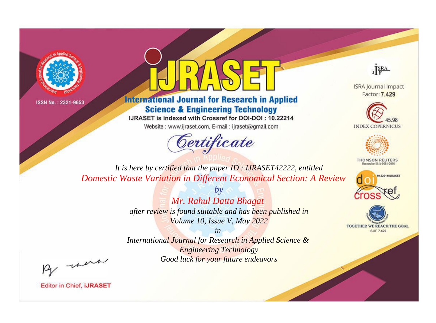



**International Journal for Research in Applied Science & Engineering Technology** 

IJRASET is indexed with Crossref for DOI-DOI: 10.22214

Website: www.ijraset.com, E-mail: ijraset@gmail.com



JERA

**ISRA Journal Impact** Factor: 7.429





**THOMSON REUTERS** 



TOGETHER WE REACH THE GOAL **SJIF 7.429** 

*It is here by certified that the paper ID : IJRASET42222, entitled Domestic Waste Variation in Different Economical Section: A Review*

> *by Mr. Rahul Datta Bhagat after review is found suitable and has been published in Volume 10, Issue V, May 2022*

> > *in*

*International Journal for Research in Applied Science & Engineering Technology Good luck for your future endeavors*

By morn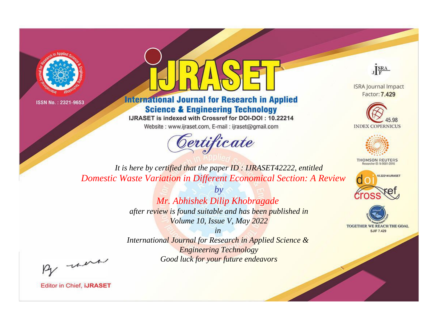



**International Journal for Research in Applied Science & Engineering Technology** 

IJRASET is indexed with Crossref for DOI-DOI: 10.22214

Website: www.ijraset.com, E-mail: ijraset@gmail.com



JERA

**ISRA Journal Impact** Factor: 7.429





**THOMSON REUTERS** 



TOGETHER WE REACH THE GOAL **SJIF 7.429** 

*It is here by certified that the paper ID : IJRASET42222, entitled Domestic Waste Variation in Different Economical Section: A Review*

> *by Mr. Abhishek Dilip Khobragade after review is found suitable and has been published in Volume 10, Issue V, May 2022*

> > *in*

*International Journal for Research in Applied Science & Engineering Technology Good luck for your future endeavors*

By morn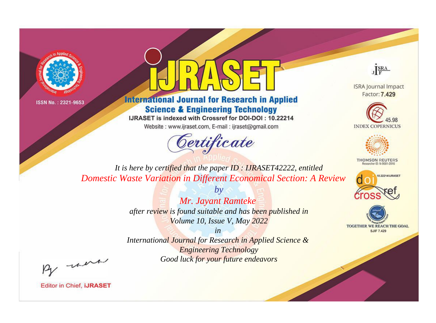



**International Journal for Research in Applied Science & Engineering Technology** 

IJRASET is indexed with Crossref for DOI-DOI: 10.22214

Website: www.ijraset.com, E-mail: ijraset@gmail.com



JERA

**ISRA Journal Impact** Factor: 7.429





**THOMSON REUTERS** 



TOGETHER WE REACH THE GOAL **SJIF 7.429** 

*It is here by certified that the paper ID : IJRASET42222, entitled Domestic Waste Variation in Different Economical Section: A Review*

> *by Mr. Jayant Ramteke after review is found suitable and has been published in Volume 10, Issue V, May 2022*

> > *in*

*International Journal for Research in Applied Science & Engineering Technology Good luck for your future endeavors*

By morn